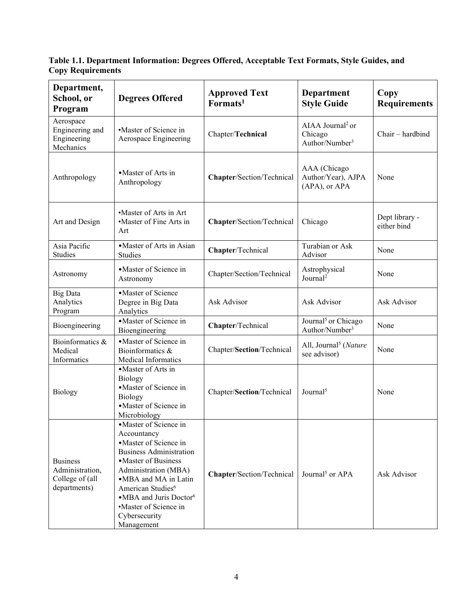**Table 1.1. Department Information: Degrees Offered, Acceptable Text Formats, Style Guides, and Copy Requirements**

| Department,<br>School, or<br>Program                                  | <b>Degrees Offered</b>                                                                                                                                                                                                                                                                                  | <b>Approved Text</b><br>Formats <sup>1</sup> | <b>Department</b><br><b>Style Guide</b>                               | Copy<br><b>Requirements</b>   |
|-----------------------------------------------------------------------|---------------------------------------------------------------------------------------------------------------------------------------------------------------------------------------------------------------------------------------------------------------------------------------------------------|----------------------------------------------|-----------------------------------------------------------------------|-------------------------------|
| Aerospace<br>Engineering and<br>Engineering<br>Mechanics              | •Master of Science in<br>Aerospace Engineering                                                                                                                                                                                                                                                          | Chapter/Technical                            | AIAA Journal <sup>2</sup> or<br>Chicago<br>Author/Number <sup>3</sup> | Chair - hardbind              |
| Anthropology                                                          | • Master of Arts in<br>Anthropology                                                                                                                                                                                                                                                                     | Chapter/Section/Technical                    | AAA (Chicago<br>Author/Year), AJPA<br>(APA), or APA                   | None                          |
| Art and Design                                                        | •Master of Arts in Art<br>•Master of Fine Arts in<br>Art                                                                                                                                                                                                                                                | Chapter/Section/Technical                    | Chicago                                                               | Dept library -<br>either bind |
| Asia Pacific<br>Studies                                               | •Master of Arts in Asian<br>Studies                                                                                                                                                                                                                                                                     | Chapter/Technical                            | Turabian or Ask<br>Advisor                                            | None                          |
| Astronomy                                                             | • Master of Science in<br>Astronomy                                                                                                                                                                                                                                                                     | Chapter/Section/Technical                    | Astrophysical<br>Journal <sup>2</sup>                                 | None                          |
| <b>Big Data</b><br>Analytics<br>Program                               | •Master of Science<br>Degree in Big Data<br>Analytics                                                                                                                                                                                                                                                   | Ask Advisor                                  | Ask Advisor                                                           | Ask Advisor                   |
| Bioengineering                                                        | ·Master of Science in<br>Bioengineering                                                                                                                                                                                                                                                                 | Chapter/Technical                            | Journal <sup>5</sup> or Chicago<br>Author/Number <sup>3</sup>         | None                          |
| Bioinformatics &<br>Medical<br>Informatics                            | • Master of Science in<br>Bioinformatics &<br>Medical Informatics                                                                                                                                                                                                                                       | Chapter/Section/Technical                    | All, Journal <sup>5</sup> (Nature<br>see advisor)                     | None                          |
| Biology                                                               | • Master of Arts in<br>Biology<br>·Master of Science in<br>Biology<br>• Master of Science in<br>Microbiology                                                                                                                                                                                            | Chapter/Section/Technical                    | Journal <sup>5</sup>                                                  | None                          |
| <b>Business</b><br>Administration,<br>College of (all<br>departments) | •Master of Science in<br>Accountancy<br>• Master of Science in<br><b>Business Administration</b><br>• Master of Business<br>Administration (MBA)<br>•MBA and MA in Latin<br>American Studies <sup>6</sup><br>•MBA and Juris Doctor <sup>6</sup><br>•Master of Science in<br>Cybersecurity<br>Management | Chapter/Section/Technical                    | Journal <sup>5</sup> or $APA$                                         | Ask Advisor                   |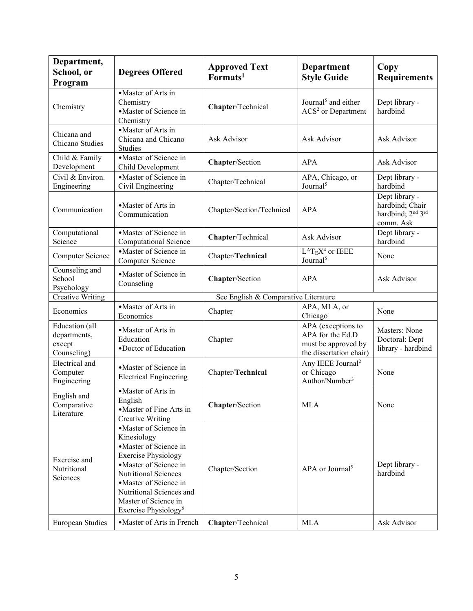| Department,<br>School, or<br>Program                    | <b>Degrees Offered</b>                                                                                                                                                                                                                                          | <b>Approved Text</b><br>Formats <sup>1</sup> | Department<br><b>Style Guide</b>                                                         | Copy<br><b>Requirements</b>                                                                 |
|---------------------------------------------------------|-----------------------------------------------------------------------------------------------------------------------------------------------------------------------------------------------------------------------------------------------------------------|----------------------------------------------|------------------------------------------------------------------------------------------|---------------------------------------------------------------------------------------------|
| Chemistry                                               | •Master of Arts in<br>Chemistry<br>•Master of Science in<br>Chemistry                                                                                                                                                                                           | Chapter/Technical                            | Journal <sup>5</sup> and either<br>$ACS2$ or Department                                  | Dept library -<br>hardbind                                                                  |
| Chicana and<br>Chicano Studies                          | •Master of Arts in<br>Chicana and Chicano<br><b>Studies</b>                                                                                                                                                                                                     | Ask Advisor                                  | Ask Advisor                                                                              | Ask Advisor                                                                                 |
| Child & Family<br>Development                           | • Master of Science in<br>Child Development                                                                                                                                                                                                                     | Chapter/Section                              | <b>APA</b>                                                                               | Ask Advisor                                                                                 |
| Civil & Environ.<br>Engineering                         | • Master of Science in<br>Civil Engineering                                                                                                                                                                                                                     | Chapter/Technical                            | APA, Chicago, or<br>Journal <sup>5</sup>                                                 | Dept library -<br>hardbind                                                                  |
| Communication                                           | • Master of Arts in<br>Communication                                                                                                                                                                                                                            | Chapter/Section/Technical                    | <b>APA</b>                                                                               | Dept library -<br>hardbind; Chair<br>hardbind; 2 <sup>nd</sup> 3 <sup>rd</sup><br>comm. Ask |
| Computational<br>Science                                | • Master of Science in<br><b>Computational Science</b>                                                                                                                                                                                                          | Chapter/Technical                            | Ask Advisor                                                                              | Dept library -<br>hardbind                                                                  |
| Computer Science                                        | • Master of Science in<br>Computer Science                                                                                                                                                                                                                      | Chapter/Technical                            | $\rm L^AT_EX^4$ or IEEE<br>Journal <sup>5</sup>                                          | None                                                                                        |
| Counseling and<br>School<br>Psychology                  | • Master of Science in<br>Counseling                                                                                                                                                                                                                            | Chapter/Section                              | <b>APA</b>                                                                               | Ask Advisor                                                                                 |
| <b>Creative Writing</b>                                 |                                                                                                                                                                                                                                                                 | See English & Comparative Literature         |                                                                                          |                                                                                             |
| Economics                                               | • Master of Arts in<br>Economics                                                                                                                                                                                                                                | Chapter                                      | APA, MLA, or<br>Chicago                                                                  | None                                                                                        |
| Education (all<br>departments,<br>except<br>Counseling) | • Master of Arts in<br>Education<br>•Doctor of Education                                                                                                                                                                                                        | Chapter                                      | APA (exceptions to<br>APA for the Ed.D<br>must be approved by<br>the dissertation chair) | Masters: None<br>Doctoral: Dept<br>library - hardbind                                       |
| Electrical and<br>Computer<br>Engineering               | • Master of Science in<br><b>Electrical Engineering</b>                                                                                                                                                                                                         | Chapter/Technical                            | Any IEEE Journal <sup>2</sup><br>or Chicago<br>Author/Number <sup>3</sup>                | None                                                                                        |
| English and<br>Comparative<br>Literature                | ·Master of Arts in<br>English<br>• Master of Fine Arts in<br><b>Creative Writing</b>                                                                                                                                                                            | Chapter/Section                              | <b>MLA</b>                                                                               | None                                                                                        |
| Exercise and<br>Nutritional<br>Sciences                 | ·Master of Science in<br>Kinesiology<br>•Master of Science in<br><b>Exercise Physiology</b><br>• Master of Science in<br>Nutritional Sciences<br>• Master of Science in<br>Nutritional Sciences and<br>Master of Science in<br>Exercise Physiology <sup>6</sup> | Chapter/Section                              | APA or Journal <sup>5</sup>                                                              | Dept library -<br>hardbind                                                                  |
| European Studies                                        | • Master of Arts in French                                                                                                                                                                                                                                      | Chapter/Technical                            | <b>MLA</b>                                                                               | Ask Advisor                                                                                 |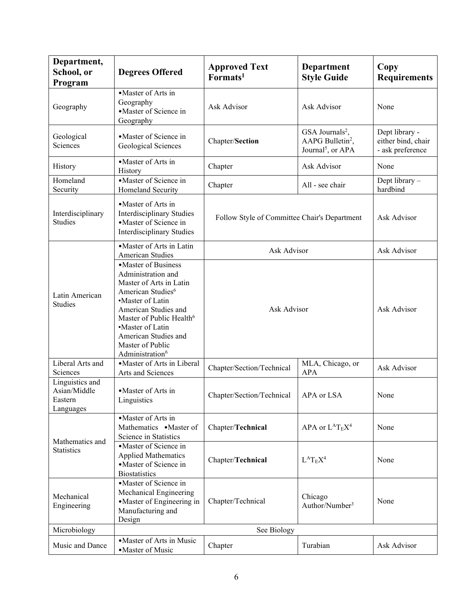| Department,<br>School, or                               | <b>Degrees Offered</b>                                                                                                                                                                                                                                                                    | <b>Approved Text</b>                                        | Department                                                                                   | Copy                                                     |
|---------------------------------------------------------|-------------------------------------------------------------------------------------------------------------------------------------------------------------------------------------------------------------------------------------------------------------------------------------------|-------------------------------------------------------------|----------------------------------------------------------------------------------------------|----------------------------------------------------------|
| Program                                                 |                                                                                                                                                                                                                                                                                           | Formats <sup>1</sup>                                        | <b>Style Guide</b>                                                                           | <b>Requirements</b>                                      |
| Geography                                               | • Master of Arts in<br>Geography<br>• Master of Science in<br>Geography                                                                                                                                                                                                                   | Ask Advisor                                                 | Ask Advisor                                                                                  | None                                                     |
| Geological<br>Sciences                                  | • Master of Science in<br>Geological Sciences                                                                                                                                                                                                                                             | Chapter/Section                                             | GSA Journals <sup>2</sup> ,<br>AAPG Bulletin <sup>2</sup> ,<br>Journal <sup>5</sup> , or APA | Dept library -<br>either bind, chair<br>- ask preference |
| History                                                 | • Master of Arts in<br>History                                                                                                                                                                                                                                                            | Chapter                                                     | Ask Advisor                                                                                  | None                                                     |
| Homeland<br>Security                                    | • Master of Science in<br>Homeland Security                                                                                                                                                                                                                                               | Chapter                                                     | All - see chair                                                                              | Dept library -<br>hardbind                               |
| Interdisciplinary<br><b>Studies</b>                     | • Master of Arts in<br><b>Interdisciplinary Studies</b><br>• Master of Science in<br><b>Interdisciplinary Studies</b>                                                                                                                                                                     | Follow Style of Committee Chair's Department                |                                                                                              | Ask Advisor                                              |
|                                                         | • Master of Arts in Latin<br><b>American Studies</b>                                                                                                                                                                                                                                      | Ask Advisor                                                 |                                                                                              | Ask Advisor                                              |
| Latin American<br><b>Studies</b>                        | • Master of Business<br>Administration and<br>Master of Arts in Latin<br>American Studies <sup>6</sup><br>•Master of Latin<br>American Studies and<br>Master of Public Health <sup>6</sup><br>·Master of Latin<br>American Studies and<br>Master of Public<br>Administration <sup>6</sup> | Ask Advisor                                                 | Ask Advisor                                                                                  |                                                          |
| Liberal Arts and<br>Sciences                            | • Master of Arts in Liberal<br>Arts and Sciences                                                                                                                                                                                                                                          | MLA, Chicago, or<br>Chapter/Section/Technical<br><b>APA</b> |                                                                                              | Ask Advisor                                              |
| Linguistics and<br>Asian/Middle<br>Eastern<br>Languages | • Master of Arts in<br>Linguistics                                                                                                                                                                                                                                                        | Chapter/Section/Technical                                   | APA or LSA                                                                                   | None                                                     |
| Mathematics and<br><b>Statistics</b>                    | •Master of Arts in<br>Mathematics • Master of<br>Science in Statistics                                                                                                                                                                                                                    | Chapter/Technical                                           | APA or $L^{A}T_{E}X^{4}$                                                                     | None                                                     |
|                                                         | • Master of Science in<br><b>Applied Mathematics</b><br>• Master of Science in<br><b>Biostatistics</b>                                                                                                                                                                                    | Chapter/Technical                                           | $L^AT_EX^4$                                                                                  | None                                                     |
| Mechanical<br>Engineering                               | ·Master of Science in<br>Mechanical Engineering<br>• Master of Engineering in<br>Manufacturing and<br>Design                                                                                                                                                                              | Chapter/Technical                                           | Chicago<br>Author/Number <sup>3</sup>                                                        | None                                                     |
| Microbiology                                            | See Biology                                                                                                                                                                                                                                                                               |                                                             |                                                                                              |                                                          |
| Music and Dance                                         | • Master of Arts in Music<br>·Master of Music                                                                                                                                                                                                                                             | Chapter                                                     | Turabian                                                                                     | Ask Advisor                                              |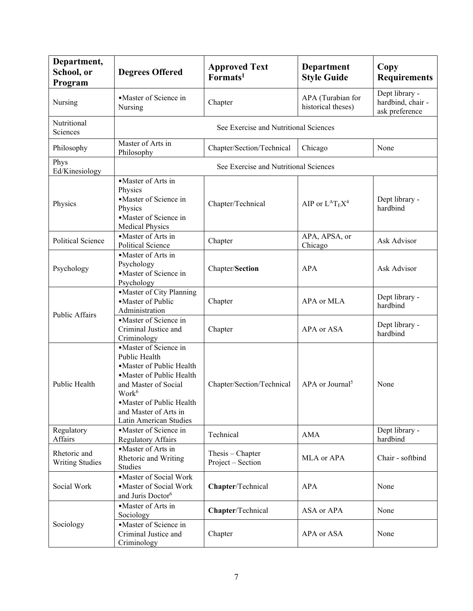| Department,<br>School, or<br>Program   | <b>Degrees Offered</b>                                                                                                                                                                                                        | <b>Approved Text</b><br>Formats <sup>1</sup> | Department<br><b>Style Guide</b>        | Copy<br><b>Requirements</b>                           |
|----------------------------------------|-------------------------------------------------------------------------------------------------------------------------------------------------------------------------------------------------------------------------------|----------------------------------------------|-----------------------------------------|-------------------------------------------------------|
| Nursing                                | • Master of Science in<br>Nursing                                                                                                                                                                                             | Chapter                                      | APA (Turabian for<br>historical theses) | Dept library -<br>hardbind, chair -<br>ask preference |
| Nutritional<br>Sciences                |                                                                                                                                                                                                                               | See Exercise and Nutritional Sciences        |                                         |                                                       |
| Philosophy                             | Master of Arts in<br>Philosophy                                                                                                                                                                                               | Chapter/Section/Technical                    | Chicago                                 | None                                                  |
| Phys<br>Ed/Kinesiology                 |                                                                                                                                                                                                                               | See Exercise and Nutritional Sciences        |                                         |                                                       |
| Physics                                | • Master of Arts in<br>Physics<br>• Master of Science in<br>Physics<br>• Master of Science in<br><b>Medical Physics</b>                                                                                                       | Chapter/Technical                            | AIP or $L^{A}T_{E}X^{4}$                | Dept library -<br>hardbind                            |
| <b>Political Science</b>               | • Master of Arts in<br><b>Political Science</b>                                                                                                                                                                               | Chapter                                      | APA, APSA, or<br>Chicago                | Ask Advisor                                           |
| Psychology                             | • Master of Arts in<br>Psychology<br>• Master of Science in<br>Psychology                                                                                                                                                     | Chapter/Section                              | <b>APA</b>                              | Ask Advisor                                           |
| <b>Public Affairs</b>                  | • Master of City Planning<br>• Master of Public<br>Administration                                                                                                                                                             | Chapter                                      | APA or MLA                              | Dept library -<br>hardbind                            |
|                                        | • Master of Science in<br>Criminal Justice and<br>Criminology                                                                                                                                                                 | Chapter                                      | APA or ASA                              | Dept library -<br>hardbind                            |
| Public Health                          | • Master of Science in<br>Public Health<br>• Master of Public Health<br>• Master of Public Health<br>and Master of Social<br>Work <sup>6</sup><br>·Master of Public Health<br>and Master of Arts in<br>Latin American Studies | Chapter/Section/Technical                    | APA or Journal <sup>5</sup>             | None                                                  |
| Regulatory<br>Affairs                  | • Master of Science in<br><b>Regulatory Affairs</b>                                                                                                                                                                           | Technical                                    | <b>AMA</b>                              | Dept library -<br>hardbind                            |
| Rhetoric and<br><b>Writing Studies</b> | • Master of Arts in<br>Rhetoric and Writing<br>Studies                                                                                                                                                                        | Thesis – Chapter<br>Project – Section        | MLA or APA                              | Chair - softbind                                      |
| Social Work                            | •Master of Social Work<br>• Master of Social Work<br>and Juris Doctor <sup>6</sup>                                                                                                                                            | Chapter/Technical                            | <b>APA</b>                              | None                                                  |
| Sociology                              | •Master of Arts in<br>Sociology                                                                                                                                                                                               | Chapter/Technical                            | ASA or APA                              | None                                                  |
|                                        | • Master of Science in<br>Criminal Justice and<br>Criminology                                                                                                                                                                 | Chapter                                      | APA or ASA                              | None                                                  |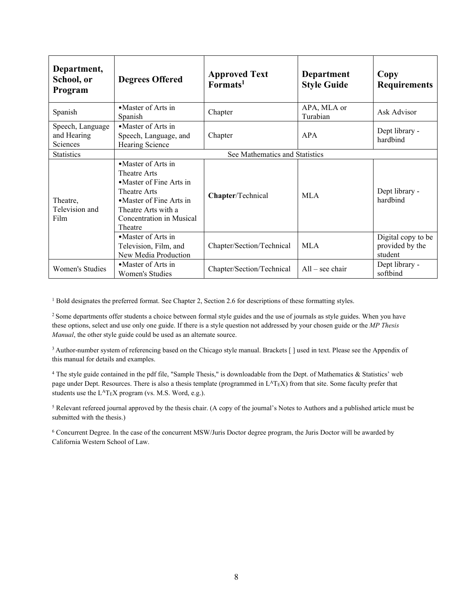| Department,<br>School, or<br>Program        | <b>Degrees Offered</b>                                                                                                                                                    | <b>Approved Text</b><br>Formats <sup>1</sup> | <b>Department</b><br><b>Style Guide</b> | Copy<br><b>Requirements</b>                      |  |
|---------------------------------------------|---------------------------------------------------------------------------------------------------------------------------------------------------------------------------|----------------------------------------------|-----------------------------------------|--------------------------------------------------|--|
| Spanish                                     | • Master of Arts in<br>Spanish                                                                                                                                            | Chapter                                      | APA, MLA or<br>Turabian                 | Ask Advisor                                      |  |
| Speech, Language<br>and Hearing<br>Sciences | • Master of Arts in<br>Speech, Language, and<br>Hearing Science                                                                                                           | Chapter                                      | <b>APA</b>                              | Dept library -<br>hardbind                       |  |
| <b>Statistics</b>                           | See Mathematics and Statistics                                                                                                                                            |                                              |                                         |                                                  |  |
| Theatre,<br>Television and<br>Film          | • Master of Arts in<br>Theatre Arts<br>• Master of Fine Arts in<br>Theatre Arts<br>• Master of Fine Arts in<br>Theatre Arts with a<br>Concentration in Musical<br>Theatre | Chapter/Technical                            | <b>MLA</b>                              | Dept library -<br>hardbind                       |  |
|                                             | • Master of Arts in<br>Television, Film, and<br>New Media Production                                                                                                      | Chapter/Section/Technical                    | <b>MLA</b>                              | Digital copy to be<br>provided by the<br>student |  |
| Women's Studies                             | • Master of Arts in<br>Women's Studies                                                                                                                                    | Chapter/Section/Technical                    | $All - see chair$                       | Dept library -<br>softbind                       |  |

 $1$  Bold designates the preferred format. See Chapter 2, Section 2.6 for descriptions of these formatting styles.

<sup>2</sup> Some departments offer students a choice between formal style guides and the use of journals as style guides. When you have these options, select and use only one guide. If there is a style question not addressed by your chosen guide or the *MP Thesis Manual*, the other style guide could be used as an alternate source.

<sup>3</sup> Author-number system of referencing based on the Chicago style manual. Brackets [ ] used in text. Please see the Appendix of this manual for details and examples.

<sup>4</sup> The style guide contained in the pdf file, "Sample Thesis," is downloadable from the Dept. of Mathematics & Statistics' web page under Dept. Resources. There is also a thesis template (programmed in L<sup>A</sup>T<sub>E</sub>X) from that site. Some faculty prefer that students use the L<sup>A</sup>T<sub>E</sub>X program (vs. M.S. Word, e.g.).

<sup>5</sup> Relevant refereed journal approved by the thesis chair. (A copy of the journal's Notes to Authors and a published article must be submitted with the thesis.)

<sup>6</sup> Concurrent Degree. In the case of the concurrent MSW/Juris Doctor degree program, the Juris Doctor will be awarded by California Western School of Law.